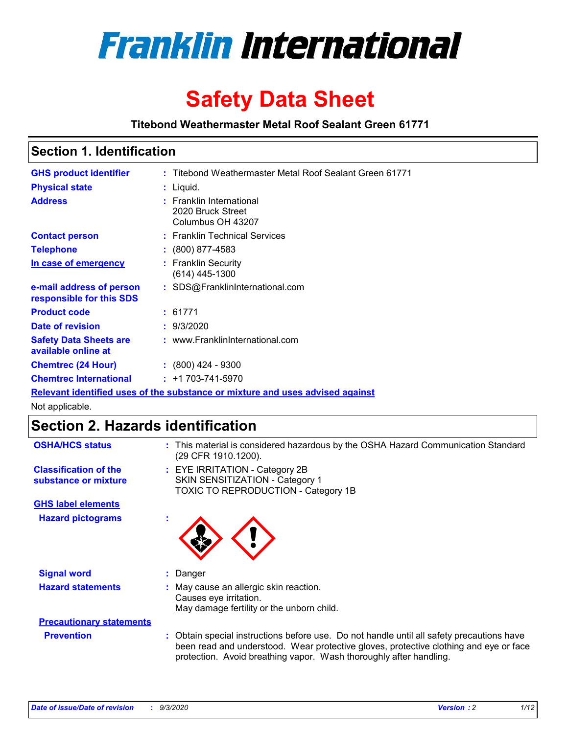

# **Safety Data Sheet**

**Titebond Weathermaster Metal Roof Sealant Green 61771**

## **Section 1. Identification**

| <b>GHS product identifier</b>                                                 |  | : Titebond Weathermaster Metal Roof Sealant Green 61771            |  |  |
|-------------------------------------------------------------------------------|--|--------------------------------------------------------------------|--|--|
| <b>Physical state</b>                                                         |  | : Liquid.                                                          |  |  |
| <b>Address</b>                                                                |  | : Franklin International<br>2020 Bruck Street<br>Columbus OH 43207 |  |  |
| <b>Contact person</b>                                                         |  | : Franklin Technical Services                                      |  |  |
| <b>Telephone</b>                                                              |  | $\colon$ (800) 877-4583                                            |  |  |
| In case of emergency                                                          |  | : Franklin Security<br>$(614)$ 445-1300                            |  |  |
| e-mail address of person<br>responsible for this SDS                          |  | : SDS@FranklinInternational.com                                    |  |  |
| <b>Product code</b>                                                           |  | : 61771                                                            |  |  |
| Date of revision                                                              |  | : 9/3/2020                                                         |  |  |
| <b>Safety Data Sheets are</b><br>available online at                          |  | : www.FranklinInternational.com                                    |  |  |
| <b>Chemtrec (24 Hour)</b>                                                     |  | $: (800)$ 424 - 9300                                               |  |  |
| <b>Chemtrec International</b>                                                 |  | $: +1703 - 741 - 5970$                                             |  |  |
| Relevant identified uses of the substance or mixture and uses advised against |  |                                                                    |  |  |

Not applicable.

# **Section 2. Hazards identification**

| <b>OSHA/HCS status</b>                               |    | : This material is considered hazardous by the OSHA Hazard Communication Standard<br>(29 CFR 1910.1200).                                                                                                                                                 |  |  |
|------------------------------------------------------|----|----------------------------------------------------------------------------------------------------------------------------------------------------------------------------------------------------------------------------------------------------------|--|--|
| <b>Classification of the</b><br>substance or mixture |    | : EYE IRRITATION - Category 2B<br>SKIN SENSITIZATION - Category 1<br>TOXIC TO REPRODUCTION - Category 1B                                                                                                                                                 |  |  |
| <b>GHS label elements</b>                            |    |                                                                                                                                                                                                                                                          |  |  |
| <b>Hazard pictograms</b>                             | ×. |                                                                                                                                                                                                                                                          |  |  |
| <b>Signal word</b>                                   | ÷. | Danger                                                                                                                                                                                                                                                   |  |  |
| <b>Hazard statements</b>                             |    | May cause an allergic skin reaction.<br>Causes eye irritation.<br>May damage fertility or the unborn child.                                                                                                                                              |  |  |
| <b>Precautionary statements</b>                      |    |                                                                                                                                                                                                                                                          |  |  |
| <b>Prevention</b>                                    |    | : Obtain special instructions before use. Do not handle until all safety precautions have<br>been read and understood. Wear protective gloves, protective clothing and eye or face<br>protection. Avoid breathing vapor. Wash thoroughly after handling. |  |  |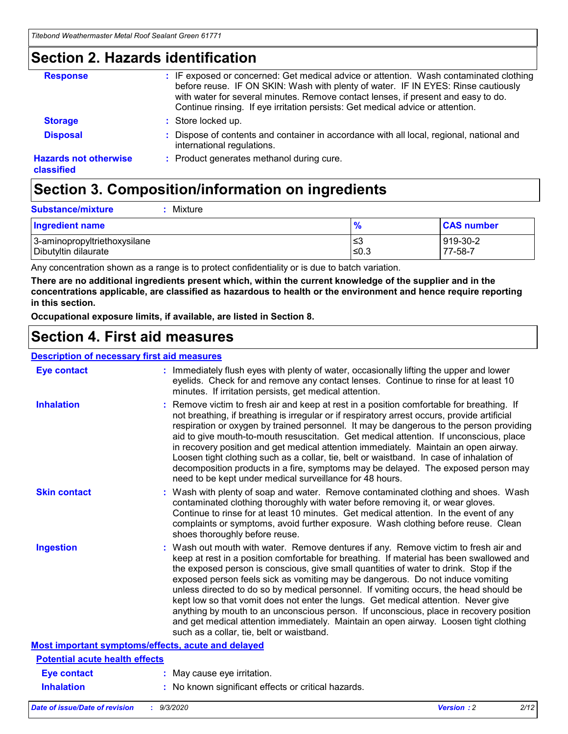## **Section 2. Hazards identification**

| <b>Response</b>                            | : IF exposed or concerned: Get medical advice or attention. Wash contaminated clothing<br>before reuse. IF ON SKIN: Wash with plenty of water. IF IN EYES: Rinse cautiously<br>with water for several minutes. Remove contact lenses, if present and easy to do.<br>Continue rinsing. If eye irritation persists: Get medical advice or attention. |
|--------------------------------------------|----------------------------------------------------------------------------------------------------------------------------------------------------------------------------------------------------------------------------------------------------------------------------------------------------------------------------------------------------|
| <b>Storage</b>                             | : Store locked up.                                                                                                                                                                                                                                                                                                                                 |
| <b>Disposal</b>                            | : Dispose of contents and container in accordance with all local, regional, national and<br>international regulations.                                                                                                                                                                                                                             |
| <b>Hazards not otherwise</b><br>classified | : Product generates methanol during cure.                                                                                                                                                                                                                                                                                                          |

# **Section 3. Composition/information on ingredients**

| <b>Ingredient name</b>       | $\frac{9}{6}$ | <b>CAS number</b> |
|------------------------------|---------------|-------------------|
| 3-aminopropyltriethoxysilane | ≤3            | 919-30-2          |
| Dibutyltin dilaurate         | ∣≤0.3         | $77 - 58 - 1$     |

Any concentration shown as a range is to protect confidentiality or is due to batch variation.

**There are no additional ingredients present which, within the current knowledge of the supplier and in the concentrations applicable, are classified as hazardous to health or the environment and hence require reporting in this section.**

**Occupational exposure limits, if available, are listed in Section 8.**

## **Section 4. First aid measures**

| <b>Description of necessary first aid measures</b> |                                                                                                                                                                                                                                                                                                                                                                                                                                                                                                                                                                                                                                                                                                                                                                           |
|----------------------------------------------------|---------------------------------------------------------------------------------------------------------------------------------------------------------------------------------------------------------------------------------------------------------------------------------------------------------------------------------------------------------------------------------------------------------------------------------------------------------------------------------------------------------------------------------------------------------------------------------------------------------------------------------------------------------------------------------------------------------------------------------------------------------------------------|
| <b>Eye contact</b>                                 | : Immediately flush eyes with plenty of water, occasionally lifting the upper and lower<br>eyelids. Check for and remove any contact lenses. Continue to rinse for at least 10<br>minutes. If irritation persists, get medical attention.                                                                                                                                                                                                                                                                                                                                                                                                                                                                                                                                 |
| <b>Inhalation</b>                                  | : Remove victim to fresh air and keep at rest in a position comfortable for breathing. If<br>not breathing, if breathing is irregular or if respiratory arrest occurs, provide artificial<br>respiration or oxygen by trained personnel. It may be dangerous to the person providing<br>aid to give mouth-to-mouth resuscitation. Get medical attention. If unconscious, place<br>in recovery position and get medical attention immediately. Maintain an open airway.<br>Loosen tight clothing such as a collar, tie, belt or waistband. In case of inhalation of<br>decomposition products in a fire, symptoms may be delayed. The exposed person may<br>need to be kept under medical surveillance for 48 hours.                                                       |
| <b>Skin contact</b>                                | : Wash with plenty of soap and water. Remove contaminated clothing and shoes. Wash<br>contaminated clothing thoroughly with water before removing it, or wear gloves.<br>Continue to rinse for at least 10 minutes. Get medical attention. In the event of any<br>complaints or symptoms, avoid further exposure. Wash clothing before reuse. Clean<br>shoes thoroughly before reuse.                                                                                                                                                                                                                                                                                                                                                                                     |
| <b>Ingestion</b>                                   | : Wash out mouth with water. Remove dentures if any. Remove victim to fresh air and<br>keep at rest in a position comfortable for breathing. If material has been swallowed and<br>the exposed person is conscious, give small quantities of water to drink. Stop if the<br>exposed person feels sick as vomiting may be dangerous. Do not induce vomiting<br>unless directed to do so by medical personnel. If vomiting occurs, the head should be<br>kept low so that vomit does not enter the lungs. Get medical attention. Never give<br>anything by mouth to an unconscious person. If unconscious, place in recovery position<br>and get medical attention immediately. Maintain an open airway. Loosen tight clothing<br>such as a collar, tie, belt or waistband. |
| Most important symptoms/effects, acute and delayed |                                                                                                                                                                                                                                                                                                                                                                                                                                                                                                                                                                                                                                                                                                                                                                           |
| <b>Potential acute health effects</b>              |                                                                                                                                                                                                                                                                                                                                                                                                                                                                                                                                                                                                                                                                                                                                                                           |
| <b>Eye contact</b>                                 | : May cause eye irritation.                                                                                                                                                                                                                                                                                                                                                                                                                                                                                                                                                                                                                                                                                                                                               |
| <b>Inhalation</b>                                  | : No known significant effects or critical hazards.                                                                                                                                                                                                                                                                                                                                                                                                                                                                                                                                                                                                                                                                                                                       |
|                                                    |                                                                                                                                                                                                                                                                                                                                                                                                                                                                                                                                                                                                                                                                                                                                                                           |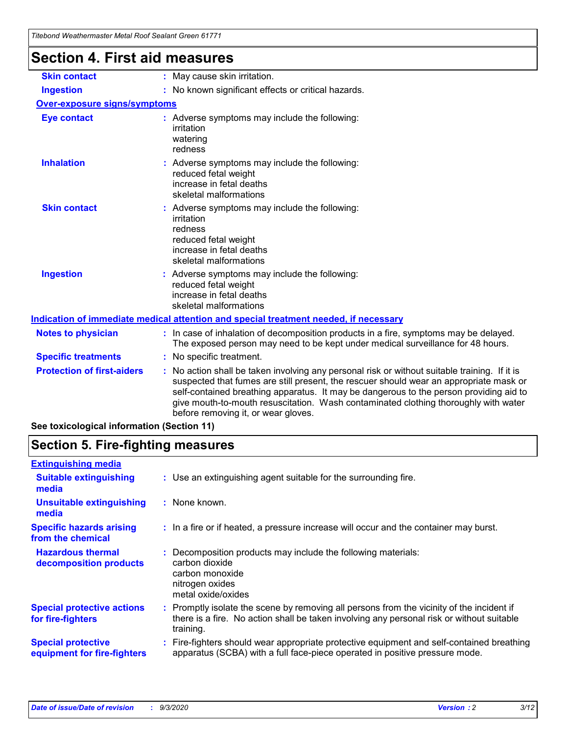| Titebond Weathermaster Metal Roof Sealant Green 61771 |                                                                                                                                                                                                                                                                                                                                                                                                               |
|-------------------------------------------------------|---------------------------------------------------------------------------------------------------------------------------------------------------------------------------------------------------------------------------------------------------------------------------------------------------------------------------------------------------------------------------------------------------------------|
| <b>Section 4. First aid measures</b>                  |                                                                                                                                                                                                                                                                                                                                                                                                               |
| <b>Skin contact</b>                                   | : May cause skin irritation.                                                                                                                                                                                                                                                                                                                                                                                  |
| <b>Ingestion</b>                                      | : No known significant effects or critical hazards.                                                                                                                                                                                                                                                                                                                                                           |
| <b>Over-exposure signs/symptoms</b>                   |                                                                                                                                                                                                                                                                                                                                                                                                               |
| <b>Eye contact</b>                                    | : Adverse symptoms may include the following:<br>irritation<br>watering<br>redness                                                                                                                                                                                                                                                                                                                            |
| <b>Inhalation</b>                                     | : Adverse symptoms may include the following:<br>reduced fetal weight<br>increase in fetal deaths<br>skeletal malformations                                                                                                                                                                                                                                                                                   |
| <b>Skin contact</b>                                   | : Adverse symptoms may include the following:<br>irritation<br>redness<br>reduced fetal weight<br>increase in fetal deaths<br>skeletal malformations                                                                                                                                                                                                                                                          |
| <b>Ingestion</b>                                      | Adverse symptoms may include the following:<br>reduced fetal weight<br>increase in fetal deaths<br>skeletal malformations                                                                                                                                                                                                                                                                                     |
|                                                       | Indication of immediate medical attention and special treatment needed, if necessary                                                                                                                                                                                                                                                                                                                          |
| <b>Notes to physician</b>                             | : In case of inhalation of decomposition products in a fire, symptoms may be delayed.<br>The exposed person may need to be kept under medical surveillance for 48 hours.                                                                                                                                                                                                                                      |
| <b>Specific treatments</b>                            | : No specific treatment.                                                                                                                                                                                                                                                                                                                                                                                      |
| <b>Protection of first-aiders</b>                     | No action shall be taken involving any personal risk or without suitable training. If it is<br>suspected that fumes are still present, the rescuer should wear an appropriate mask or<br>self-contained breathing apparatus. It may be dangerous to the person providing aid to<br>give mouth-to-mouth resuscitation. Wash contaminated clothing thoroughly with water<br>before removing it, or wear gloves. |
| See toxicological information (Section 11)            |                                                                                                                                                                                                                                                                                                                                                                                                               |

# **Section 5. Fire-fighting measures**

| : Use an extinguishing agent suitable for the surrounding fire.                                                                                                                                     |
|-----------------------------------------------------------------------------------------------------------------------------------------------------------------------------------------------------|
| : None known.                                                                                                                                                                                       |
| : In a fire or if heated, a pressure increase will occur and the container may burst.                                                                                                               |
| : Decomposition products may include the following materials:<br>carbon dioxide<br>carbon monoxide<br>nitrogen oxides<br>metal oxide/oxides                                                         |
| : Promptly isolate the scene by removing all persons from the vicinity of the incident if<br>there is a fire. No action shall be taken involving any personal risk or without suitable<br>training. |
| : Fire-fighters should wear appropriate protective equipment and self-contained breathing<br>apparatus (SCBA) with a full face-piece operated in positive pressure mode.                            |
|                                                                                                                                                                                                     |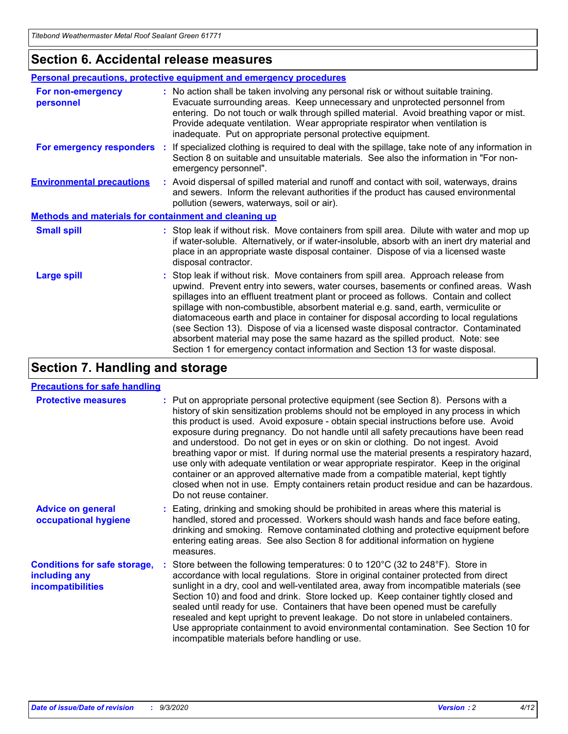### **Section 6. Accidental release measures**

|                                                              | Personal precautions, protective equipment and emergency procedures                                                                                                                                                                                                                                                                                                                                                                                                                                                                                                                                                                                                                                          |  |  |
|--------------------------------------------------------------|--------------------------------------------------------------------------------------------------------------------------------------------------------------------------------------------------------------------------------------------------------------------------------------------------------------------------------------------------------------------------------------------------------------------------------------------------------------------------------------------------------------------------------------------------------------------------------------------------------------------------------------------------------------------------------------------------------------|--|--|
| For non-emergency<br>personnel                               | : No action shall be taken involving any personal risk or without suitable training.<br>Evacuate surrounding areas. Keep unnecessary and unprotected personnel from<br>entering. Do not touch or walk through spilled material. Avoid breathing vapor or mist.<br>Provide adequate ventilation. Wear appropriate respirator when ventilation is<br>inadequate. Put on appropriate personal protective equipment.                                                                                                                                                                                                                                                                                             |  |  |
| For emergency responders                                     | : If specialized clothing is required to deal with the spillage, take note of any information in<br>Section 8 on suitable and unsuitable materials. See also the information in "For non-<br>emergency personnel".                                                                                                                                                                                                                                                                                                                                                                                                                                                                                           |  |  |
| <b>Environmental precautions</b>                             | : Avoid dispersal of spilled material and runoff and contact with soil, waterways, drains<br>and sewers. Inform the relevant authorities if the product has caused environmental<br>pollution (sewers, waterways, soil or air).                                                                                                                                                                                                                                                                                                                                                                                                                                                                              |  |  |
| <b>Methods and materials for containment and cleaning up</b> |                                                                                                                                                                                                                                                                                                                                                                                                                                                                                                                                                                                                                                                                                                              |  |  |
| <b>Small spill</b>                                           | : Stop leak if without risk. Move containers from spill area. Dilute with water and mop up<br>if water-soluble. Alternatively, or if water-insoluble, absorb with an inert dry material and<br>place in an appropriate waste disposal container. Dispose of via a licensed waste<br>disposal contractor.                                                                                                                                                                                                                                                                                                                                                                                                     |  |  |
| <b>Large spill</b>                                           | : Stop leak if without risk. Move containers from spill area. Approach release from<br>upwind. Prevent entry into sewers, water courses, basements or confined areas. Wash<br>spillages into an effluent treatment plant or proceed as follows. Contain and collect<br>spillage with non-combustible, absorbent material e.g. sand, earth, vermiculite or<br>diatomaceous earth and place in container for disposal according to local regulations<br>(see Section 13). Dispose of via a licensed waste disposal contractor. Contaminated<br>absorbent material may pose the same hazard as the spilled product. Note: see<br>Section 1 for emergency contact information and Section 13 for waste disposal. |  |  |

## **Section 7. Handling and storage**

### **Precautions for safe handling**

| <b>Protective measures</b>                                                       | : Put on appropriate personal protective equipment (see Section 8). Persons with a<br>history of skin sensitization problems should not be employed in any process in which<br>this product is used. Avoid exposure - obtain special instructions before use. Avoid<br>exposure during pregnancy. Do not handle until all safety precautions have been read<br>and understood. Do not get in eyes or on skin or clothing. Do not ingest. Avoid<br>breathing vapor or mist. If during normal use the material presents a respiratory hazard,<br>use only with adequate ventilation or wear appropriate respirator. Keep in the original<br>container or an approved alternative made from a compatible material, kept tightly<br>closed when not in use. Empty containers retain product residue and can be hazardous.<br>Do not reuse container. |
|----------------------------------------------------------------------------------|--------------------------------------------------------------------------------------------------------------------------------------------------------------------------------------------------------------------------------------------------------------------------------------------------------------------------------------------------------------------------------------------------------------------------------------------------------------------------------------------------------------------------------------------------------------------------------------------------------------------------------------------------------------------------------------------------------------------------------------------------------------------------------------------------------------------------------------------------|
| <b>Advice on general</b><br>occupational hygiene                                 | : Eating, drinking and smoking should be prohibited in areas where this material is<br>handled, stored and processed. Workers should wash hands and face before eating,<br>drinking and smoking. Remove contaminated clothing and protective equipment before<br>entering eating areas. See also Section 8 for additional information on hygiene<br>measures.                                                                                                                                                                                                                                                                                                                                                                                                                                                                                    |
| <b>Conditions for safe storage,</b><br>including any<br><i>incompatibilities</i> | Store between the following temperatures: 0 to 120°C (32 to 248°F). Store in<br>accordance with local regulations. Store in original container protected from direct<br>sunlight in a dry, cool and well-ventilated area, away from incompatible materials (see<br>Section 10) and food and drink. Store locked up. Keep container tightly closed and<br>sealed until ready for use. Containers that have been opened must be carefully<br>resealed and kept upright to prevent leakage. Do not store in unlabeled containers.<br>Use appropriate containment to avoid environmental contamination. See Section 10 for<br>incompatible materials before handling or use.                                                                                                                                                                         |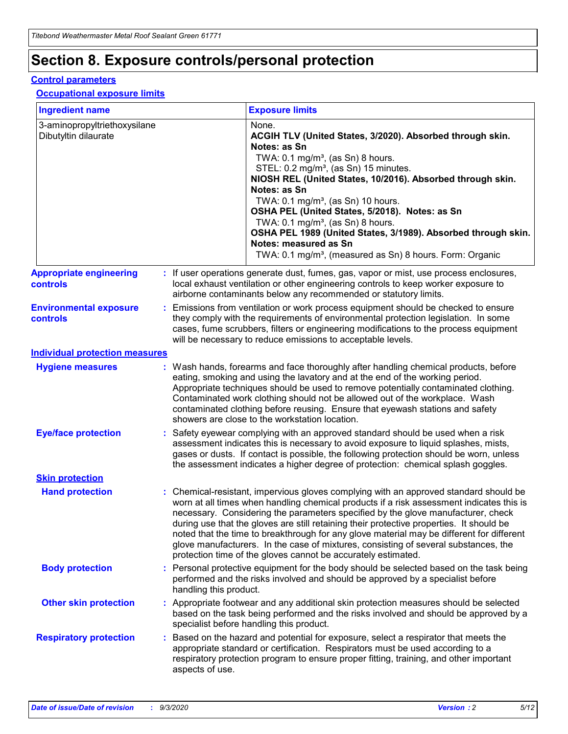# **Section 8. Exposure controls/personal protection**

### **Control parameters**

### **Occupational exposure limits**

| <b>Ingredient name</b>                               |    |                                                                                                                                                                                                                                                                                                                                                     | <b>Exposure limits</b>                                                                                                                                                                                                                                                                                                                                                                                                                                                                                                                                                                                                 |  |  |
|------------------------------------------------------|----|-----------------------------------------------------------------------------------------------------------------------------------------------------------------------------------------------------------------------------------------------------------------------------------------------------------------------------------------------------|------------------------------------------------------------------------------------------------------------------------------------------------------------------------------------------------------------------------------------------------------------------------------------------------------------------------------------------------------------------------------------------------------------------------------------------------------------------------------------------------------------------------------------------------------------------------------------------------------------------------|--|--|
| 3-aminopropyltriethoxysilane<br>Dibutyltin dilaurate |    |                                                                                                                                                                                                                                                                                                                                                     | None.<br>ACGIH TLV (United States, 3/2020). Absorbed through skin.<br>Notes: as Sn<br>TWA: $0.1 \text{ mg/m}^3$ , (as Sn) 8 hours.<br>STEL: 0.2 mg/m <sup>3</sup> , (as Sn) 15 minutes.<br>NIOSH REL (United States, 10/2016). Absorbed through skin.<br>Notes: as Sn<br>TWA: 0.1 mg/m <sup>3</sup> , (as Sn) 10 hours.<br>OSHA PEL (United States, 5/2018). Notes: as Sn<br>TWA: 0.1 mg/m <sup>3</sup> , (as Sn) 8 hours.<br>OSHA PEL 1989 (United States, 3/1989). Absorbed through skin.<br>Notes: measured as Sn<br>TWA: 0.1 mg/m <sup>3</sup> , (measured as Sn) 8 hours. Form: Organic                           |  |  |
| <b>Appropriate engineering</b><br>controls           |    |                                                                                                                                                                                                                                                                                                                                                     | : If user operations generate dust, fumes, gas, vapor or mist, use process enclosures,<br>local exhaust ventilation or other engineering controls to keep worker exposure to<br>airborne contaminants below any recommended or statutory limits.                                                                                                                                                                                                                                                                                                                                                                       |  |  |
| <b>Environmental exposure</b><br>controls            |    | Emissions from ventilation or work process equipment should be checked to ensure<br>they comply with the requirements of environmental protection legislation. In some<br>cases, fume scrubbers, filters or engineering modifications to the process equipment<br>will be necessary to reduce emissions to acceptable levels.                       |                                                                                                                                                                                                                                                                                                                                                                                                                                                                                                                                                                                                                        |  |  |
| <b>Individual protection measures</b>                |    |                                                                                                                                                                                                                                                                                                                                                     |                                                                                                                                                                                                                                                                                                                                                                                                                                                                                                                                                                                                                        |  |  |
| <b>Hygiene measures</b>                              |    |                                                                                                                                                                                                                                                                                                                                                     | : Wash hands, forearms and face thoroughly after handling chemical products, before<br>eating, smoking and using the lavatory and at the end of the working period.<br>Appropriate techniques should be used to remove potentially contaminated clothing.<br>Contaminated work clothing should not be allowed out of the workplace. Wash<br>contaminated clothing before reusing. Ensure that eyewash stations and safety<br>showers are close to the workstation location.                                                                                                                                            |  |  |
| <b>Eye/face protection</b>                           |    | Safety eyewear complying with an approved standard should be used when a risk<br>assessment indicates this is necessary to avoid exposure to liquid splashes, mists,<br>gases or dusts. If contact is possible, the following protection should be worn, unless<br>the assessment indicates a higher degree of protection: chemical splash goggles. |                                                                                                                                                                                                                                                                                                                                                                                                                                                                                                                                                                                                                        |  |  |
| <b>Skin protection</b>                               |    |                                                                                                                                                                                                                                                                                                                                                     |                                                                                                                                                                                                                                                                                                                                                                                                                                                                                                                                                                                                                        |  |  |
| <b>Hand protection</b>                               |    |                                                                                                                                                                                                                                                                                                                                                     | : Chemical-resistant, impervious gloves complying with an approved standard should be<br>worn at all times when handling chemical products if a risk assessment indicates this is<br>necessary. Considering the parameters specified by the glove manufacturer, check<br>during use that the gloves are still retaining their protective properties. It should be<br>noted that the time to breakthrough for any glove material may be different for different<br>glove manufacturers. In the case of mixtures, consisting of several substances, the<br>protection time of the gloves cannot be accurately estimated. |  |  |
| <b>Body protection</b>                               |    | handling this product.                                                                                                                                                                                                                                                                                                                              | Personal protective equipment for the body should be selected based on the task being<br>performed and the risks involved and should be approved by a specialist before                                                                                                                                                                                                                                                                                                                                                                                                                                                |  |  |
| <b>Other skin protection</b>                         |    |                                                                                                                                                                                                                                                                                                                                                     | : Appropriate footwear and any additional skin protection measures should be selected<br>based on the task being performed and the risks involved and should be approved by a<br>specialist before handling this product.                                                                                                                                                                                                                                                                                                                                                                                              |  |  |
| <b>Respiratory protection</b>                        | ÷. | aspects of use.                                                                                                                                                                                                                                                                                                                                     | Based on the hazard and potential for exposure, select a respirator that meets the<br>appropriate standard or certification. Respirators must be used according to a<br>respiratory protection program to ensure proper fitting, training, and other important                                                                                                                                                                                                                                                                                                                                                         |  |  |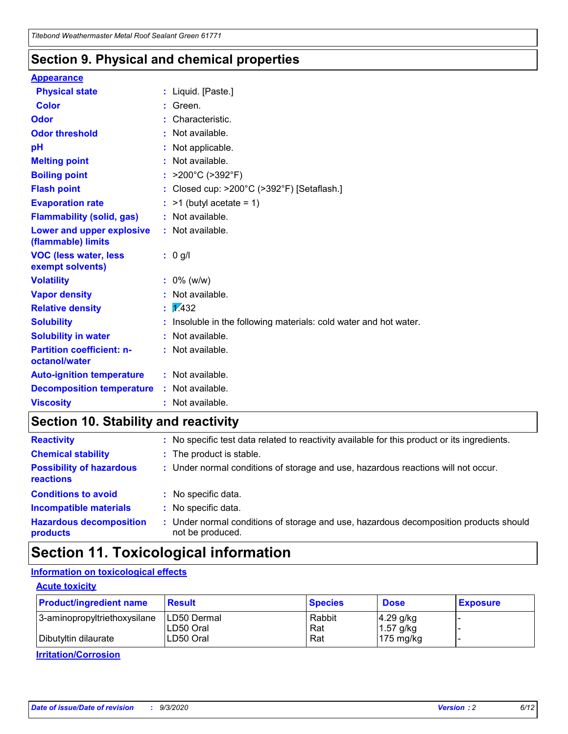### **Section 9. Physical and chemical properties**

### **Appearance**

| <b>Physical state</b>                             |   | : Liquid. [Paste.]                                              |
|---------------------------------------------------|---|-----------------------------------------------------------------|
| <b>Color</b>                                      |   | Green.                                                          |
| Odor                                              |   | Characteristic.                                                 |
| <b>Odor threshold</b>                             | ÷ | Not available.                                                  |
| рH                                                |   | Not applicable.                                                 |
| <b>Melting point</b>                              |   | : Not available.                                                |
| <b>Boiling point</b>                              |   | >200°C (>392°F)                                                 |
| <b>Flash point</b>                                |   | Closed cup: >200°C (>392°F) [Setaflash.]                        |
| <b>Evaporation rate</b>                           |   | $:$ >1 (butyl acetate = 1)                                      |
| <b>Flammability (solid, gas)</b>                  |   | : Not available.                                                |
| Lower and upper explosive<br>(flammable) limits   |   | : Not available.                                                |
| <b>VOC (less water, less)</b><br>exempt solvents) |   | : 0 g/l                                                         |
| <b>Volatility</b>                                 |   | $: 0\%$ (w/w)                                                   |
| <b>Vapor density</b>                              |   | Not available.                                                  |
| <b>Relative density</b>                           |   | $\mathbf{1}$ $\mathbf{\sqrt{432}}$                              |
| <b>Solubility</b>                                 |   | Insoluble in the following materials: cold water and hot water. |
| <b>Solubility in water</b>                        |   | Not available.                                                  |
| <b>Partition coefficient: n-</b><br>octanol/water |   | $:$ Not available.                                              |
| <b>Auto-ignition temperature</b>                  |   | : Not available.                                                |
| <b>Decomposition temperature</b>                  |   | : Not available.                                                |
| <b>Viscosity</b>                                  |   | $:$ Not available.                                              |

## **Section 10. Stability and reactivity**

| <b>Reactivity</b>                            | : No specific test data related to reactivity available for this product or its ingredients.            |
|----------------------------------------------|---------------------------------------------------------------------------------------------------------|
| <b>Chemical stability</b>                    | : The product is stable.                                                                                |
| <b>Possibility of hazardous</b><br>reactions | : Under normal conditions of storage and use, hazardous reactions will not occur.                       |
| <b>Conditions to avoid</b>                   | : No specific data.                                                                                     |
| <b>Incompatible materials</b>                | : No specific data.                                                                                     |
| <b>Hazardous decomposition</b><br>products   | Under normal conditions of storage and use, hazardous decomposition products should<br>not be produced. |

## **Section 11. Toxicological information**

### **Information on toxicological effects**

### **Acute toxicity**

| <b>Product/ingredient name</b> | <b>Result</b>           | <b>Species</b> | <b>Dose</b>                | <b>Exposure</b> |
|--------------------------------|-------------------------|----------------|----------------------------|-----------------|
| 3-aminopropyltriethoxysilane   | <b>ILD50 Dermal</b>     | Rabbit         | 4.29 g/kg                  |                 |
| Dibutyltin dilaurate           | ILD50 Oral<br>LD50 Oral | Rat<br>Rat     | $1.57$ g/kg<br>175 $mg/kg$ |                 |
|                                |                         |                |                            |                 |

**Irritation/Corrosion**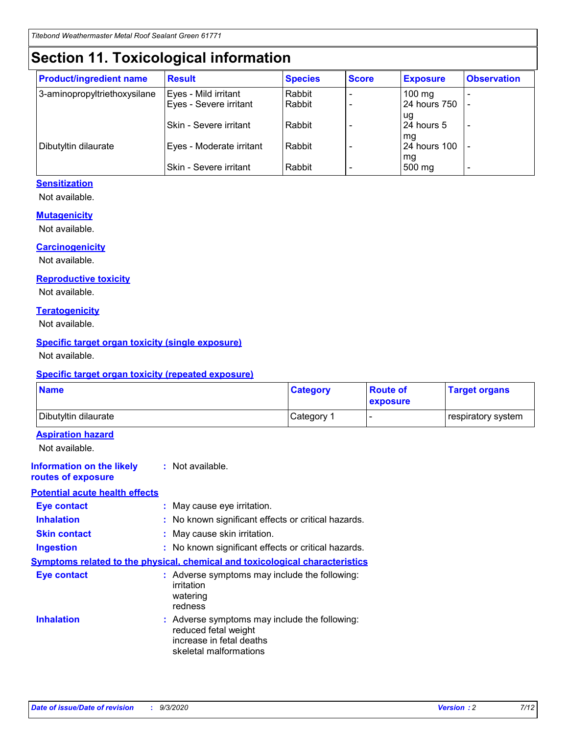# **Section 11. Toxicological information**

| <b>Product/ingredient name</b> | <b>Result</b>                 | <b>Species</b> | <b>Score</b> | <b>Exposure</b>    | <b>Observation</b>       |
|--------------------------------|-------------------------------|----------------|--------------|--------------------|--------------------------|
| 3-aminopropyltriethoxysilane   | Eyes - Mild irritant          | Rabbit         |              | $100 \text{ mg}$   |                          |
|                                | Eyes - Severe irritant        | Rabbit         |              | 24 hours 750       |                          |
|                                |                               |                |              | ug                 |                          |
|                                | <b>Skin - Severe irritant</b> | Rabbit         |              | 24 hours 5         | $\overline{\phantom{a}}$ |
| Dibutyltin dilaurate           | Eyes - Moderate irritant      | Rabbit         |              | mg<br>24 hours 100 |                          |
|                                |                               |                |              | mg                 |                          |
|                                | Skin - Severe irritant        | Rabbit         |              | 500 mg             | -                        |

### **Sensitization**

Not available.

### **Mutagenicity**

Not available.

### **Carcinogenicity**

Not available.

### **Reproductive toxicity**

Not available.

### **Teratogenicity**

Not available.

### **Specific target organ toxicity (single exposure)**

Not available.

### **Specific target organ toxicity (repeated exposure)**

| <b>Name</b>                                                                  |                                                                            | <b>Category</b>                                     | <b>Route of</b><br>exposure | <b>Target organs</b> |  |  |
|------------------------------------------------------------------------------|----------------------------------------------------------------------------|-----------------------------------------------------|-----------------------------|----------------------|--|--|
| Dibutyltin dilaurate                                                         |                                                                            | Category 1                                          |                             | respiratory system   |  |  |
| <b>Aspiration hazard</b><br>Not available.                                   |                                                                            |                                                     |                             |                      |  |  |
| <b>Information on the likely</b><br>routes of exposure                       | : Not available.                                                           |                                                     |                             |                      |  |  |
| <b>Potential acute health effects</b>                                        |                                                                            |                                                     |                             |                      |  |  |
| <b>Eye contact</b>                                                           | : May cause eye irritation.                                                |                                                     |                             |                      |  |  |
| <b>Inhalation</b>                                                            |                                                                            | : No known significant effects or critical hazards. |                             |                      |  |  |
| <b>Skin contact</b>                                                          |                                                                            | : May cause skin irritation.                        |                             |                      |  |  |
| <b>Ingestion</b>                                                             |                                                                            | : No known significant effects or critical hazards. |                             |                      |  |  |
| Symptoms related to the physical, chemical and toxicological characteristics |                                                                            |                                                     |                             |                      |  |  |
| <b>Eye contact</b>                                                           | irritation<br>watering<br>redness                                          | : Adverse symptoms may include the following:       |                             |                      |  |  |
| <b>Inhalation</b>                                                            | reduced fetal weight<br>increase in fetal deaths<br>skeletal malformations | : Adverse symptoms may include the following:       |                             |                      |  |  |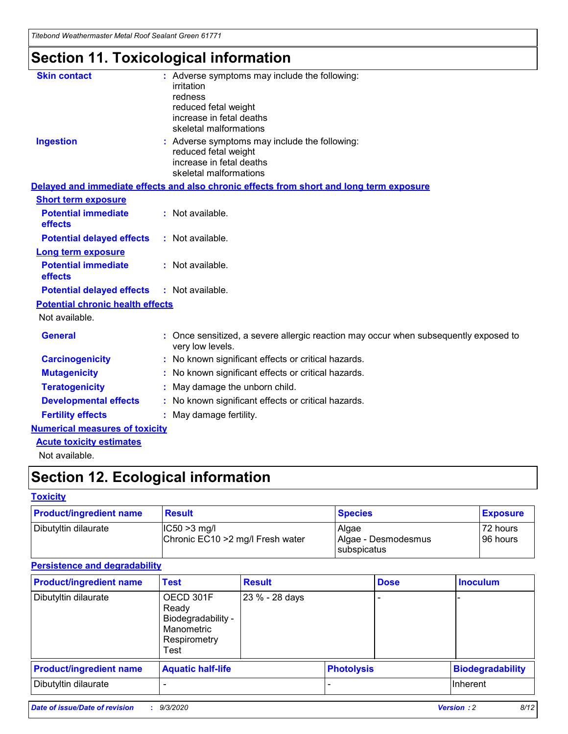*Titebond Weathermaster Metal Roof Sealant Green 61771*

# **Section 11. Toxicological information**

| <b>Skin contact</b>                     | : Adverse symptoms may include the following:<br>irritation                                            |
|-----------------------------------------|--------------------------------------------------------------------------------------------------------|
|                                         | redness                                                                                                |
|                                         | reduced fetal weight                                                                                   |
|                                         | increase in fetal deaths                                                                               |
|                                         | skeletal malformations                                                                                 |
| <b>Ingestion</b>                        | : Adverse symptoms may include the following:<br>reduced fetal weight                                  |
|                                         | increase in fetal deaths                                                                               |
|                                         | skeletal malformations                                                                                 |
|                                         | Delayed and immediate effects and also chronic effects from short and long term exposure               |
| <b>Short term exposure</b>              |                                                                                                        |
| <b>Potential immediate</b><br>effects   | : Not available.                                                                                       |
| <b>Potential delayed effects</b>        | : Not available.                                                                                       |
| <b>Long term exposure</b>               |                                                                                                        |
| <b>Potential immediate</b><br>effects   | : Not available.                                                                                       |
| <b>Potential delayed effects</b>        | : Not available.                                                                                       |
| <b>Potential chronic health effects</b> |                                                                                                        |
| Not available.                          |                                                                                                        |
| <b>General</b>                          | Once sensitized, a severe allergic reaction may occur when subsequently exposed to<br>very low levels. |
| <b>Carcinogenicity</b>                  | No known significant effects or critical hazards.                                                      |
| <b>Mutagenicity</b>                     | : No known significant effects or critical hazards.                                                    |
| <b>Teratogenicity</b>                   | May damage the unborn child.                                                                           |
| <b>Developmental effects</b>            | : No known significant effects or critical hazards.                                                    |
| <b>Fertility effects</b>                | : May damage fertility.                                                                                |
| <b>Numerical measures of toxicity</b>   |                                                                                                        |
| <b>Acute toxicity estimates</b>         |                                                                                                        |
| Not ovoilable                           |                                                                                                        |

Not available.

# **Section 12. Ecological information**

### **Toxicity**

| <b>Product/ingredient name</b> | <b>Result</b>                                       | <b>Species</b>               | <b>Exposure</b>       |
|--------------------------------|-----------------------------------------------------|------------------------------|-----------------------|
| Dibutyltin dilaurate           | $ CC50>3$ mg/l<br>Chronic EC10 > 2 mg/l Fresh water | Algae<br>Algae - Desmodesmus | 72 hours<br>196 hours |
|                                |                                                     | <b>I</b> subspicatus         |                       |

### **Persistence and degradability**

| <b>Product/ingredient name</b> | <b>Test</b>                                                                    | <b>Result</b>  |                   | <b>Dose</b> | <b>Inoculum</b>         |
|--------------------------------|--------------------------------------------------------------------------------|----------------|-------------------|-------------|-------------------------|
| Dibutyltin dilaurate           | OECD 301F<br>Ready<br>Biodegradability -<br>Manometric<br>Respirometry<br>Test | 23 % - 28 days |                   |             |                         |
| <b>Product/ingredient name</b> | <b>Aquatic half-life</b>                                                       |                | <b>Photolysis</b> |             | <b>Biodegradability</b> |
| Dibutyltin dilaurate           |                                                                                |                |                   |             | <b>Inherent</b>         |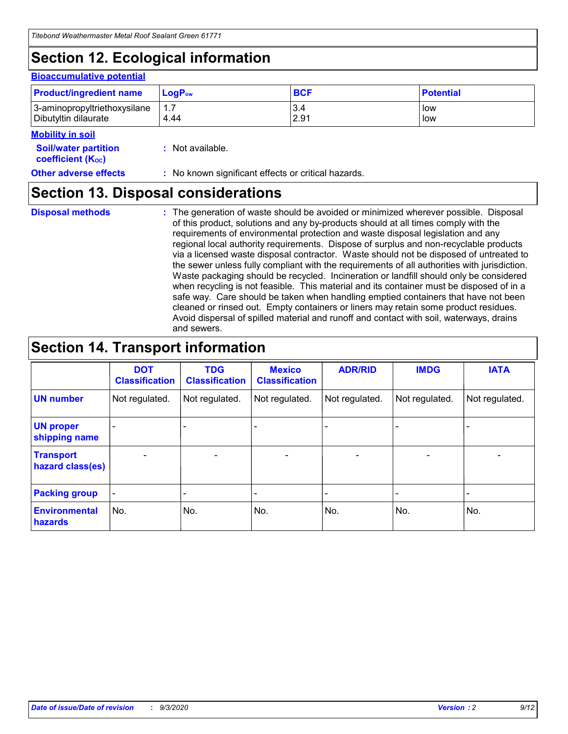# **Section 12. Ecological information**

#### **Bioaccumulative potential**

| <b>Product/ingredient name</b> | $LoaPow$ | <b>BCF</b> | <b>Potential</b> |
|--------------------------------|----------|------------|------------------|
| 3-aminopropyltriethoxysilane   | 1.7      | 3.4        | low              |
| Dibutyltin dilaurate           | 4.44     | 2.91       | low              |

### **Mobility in soil**

| <b>INIUDIIILY III SUII</b>                                    |                                                     |
|---------------------------------------------------------------|-----------------------------------------------------|
| <b>Soil/water partition</b><br>coefficient (K <sub>oc</sub> ) | : Not available.                                    |
| <b>Other adverse effects</b>                                  | : No known significant effects or critical hazards. |

## **Section 13. Disposal considerations**

**Disposal methods :**

The generation of waste should be avoided or minimized wherever possible. Disposal of this product, solutions and any by-products should at all times comply with the requirements of environmental protection and waste disposal legislation and any regional local authority requirements. Dispose of surplus and non-recyclable products via a licensed waste disposal contractor. Waste should not be disposed of untreated to the sewer unless fully compliant with the requirements of all authorities with jurisdiction. Waste packaging should be recycled. Incineration or landfill should only be considered when recycling is not feasible. This material and its container must be disposed of in a safe way. Care should be taken when handling emptied containers that have not been cleaned or rinsed out. Empty containers or liners may retain some product residues. Avoid dispersal of spilled material and runoff and contact with soil, waterways, drains and sewers.

## **Section 14. Transport information**

|                                      | <b>DOT</b><br><b>Classification</b> | <b>TDG</b><br><b>Classification</b> | <b>Mexico</b><br><b>Classification</b> | <b>ADR/RID</b>           | <b>IMDG</b>              | <b>IATA</b>    |
|--------------------------------------|-------------------------------------|-------------------------------------|----------------------------------------|--------------------------|--------------------------|----------------|
| <b>UN number</b>                     | Not regulated.                      | Not regulated.                      | Not regulated.                         | Not regulated.           | Not regulated.           | Not regulated. |
| <b>UN proper</b><br>shipping name    |                                     |                                     |                                        |                          |                          |                |
| <b>Transport</b><br>hazard class(es) |                                     | $\overline{\phantom{0}}$            | $\qquad \qquad \blacksquare$           | $\overline{\phantom{0}}$ | $\overline{\phantom{0}}$ |                |
| <b>Packing group</b>                 |                                     |                                     |                                        |                          |                          |                |
| <b>Environmental</b><br>hazards      | No.                                 | No.                                 | No.                                    | No.                      | No.                      | No.            |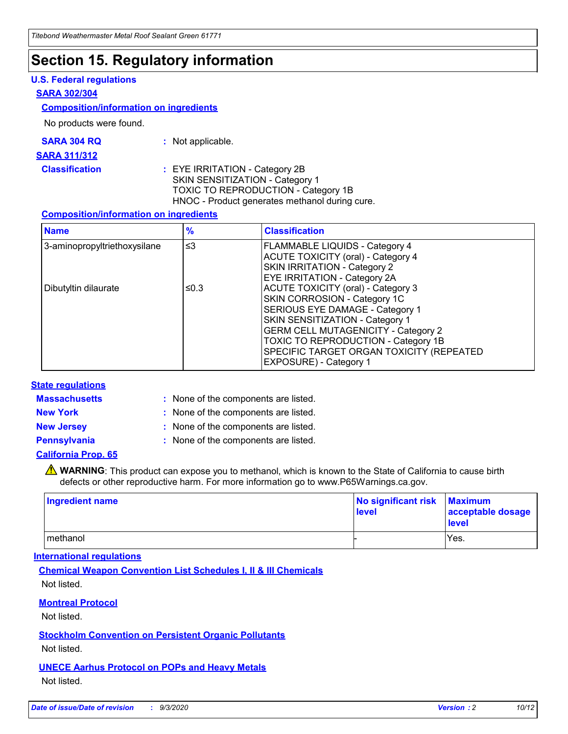## **Section 15. Regulatory information**

### **U.S. Federal regulations**

### **SARA 302/304**

### **Composition/information on ingredients**

No products were found.

| SARA 304 RQ | Not applicable. |
|-------------|-----------------|
|-------------|-----------------|

#### **SARA 311/312**

**Classification :** EYE IRRITATION - Category 2B SKIN SENSITIZATION - Category 1 TOXIC TO REPRODUCTION - Category 1B HNOC - Product generates methanol during cure.

### **Composition/information on ingredients**

| <b>Name</b>                  | $\frac{9}{6}$ | <b>Classification</b>                                                                                                                                                                                                                                                                                      |
|------------------------------|---------------|------------------------------------------------------------------------------------------------------------------------------------------------------------------------------------------------------------------------------------------------------------------------------------------------------------|
| 3-aminopropyltriethoxysilane | $\leq$ 3      | <b>FLAMMABLE LIQUIDS - Category 4</b><br><b>ACUTE TOXICITY (oral) - Category 4</b><br><b>SKIN IRRITATION - Category 2</b><br>EYE IRRITATION - Category 2A                                                                                                                                                  |
| Dibutyltin dilaurate         | ≤0.3          | <b>ACUTE TOXICITY (oral) - Category 3</b><br>SKIN CORROSION - Category 1C<br>SERIOUS EYE DAMAGE - Category 1<br>SKIN SENSITIZATION - Category 1<br><b>GERM CELL MUTAGENICITY - Category 2</b><br>TOXIC TO REPRODUCTION - Category 1B<br>SPECIFIC TARGET ORGAN TOXICITY (REPEATED<br>EXPOSURE) - Category 1 |

### **State regulations**

**Massachusetts :**

: None of the components are listed.

**New York :** None of the components are listed. **New Jersey :** None of the components are listed.

**Pennsylvania :** None of the components are listed.

### **California Prop. 65**

WARNING: This product can expose you to methanol, which is known to the State of California to cause birth defects or other reproductive harm. For more information go to www.P65Warnings.ca.gov.

| Ingredient name | No significant risk Maximum<br>level | acceptable dosage<br><b>level</b> |
|-----------------|--------------------------------------|-----------------------------------|
| I methanol      |                                      | Yes.                              |

### **International regulations**

**Chemical Weapon Convention List Schedules I, II & III Chemicals** Not listed.

**Montreal Protocol**

Not listed.

**Stockholm Convention on Persistent Organic Pollutants**

Not listed.

**UNECE Aarhus Protocol on POPs and Heavy Metals** Not listed.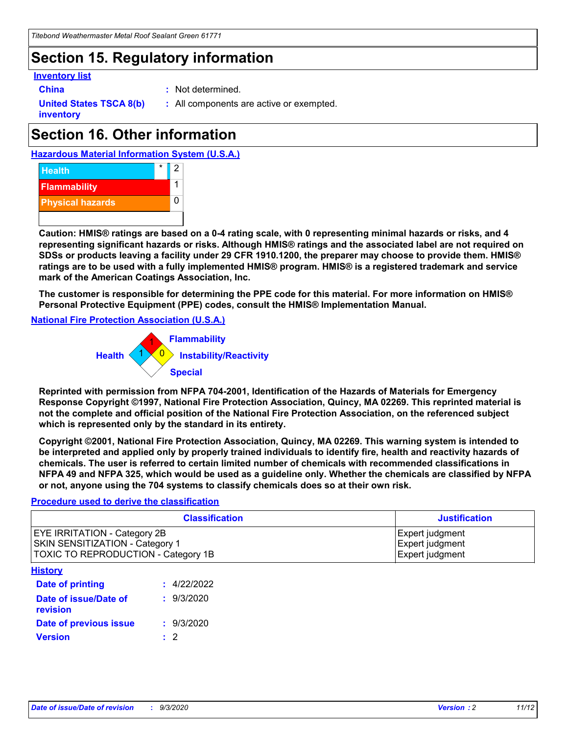# **Section 15. Regulatory information**

### **Inventory list**

- 
- **China :** Not determined.

**United States TSCA 8(b) inventory**

**:** All components are active or exempted.

# **Section 16. Other information**

**Hazardous Material Information System (U.S.A.)**



**Caution: HMIS® ratings are based on a 0-4 rating scale, with 0 representing minimal hazards or risks, and 4 representing significant hazards or risks. Although HMIS® ratings and the associated label are not required on SDSs or products leaving a facility under 29 CFR 1910.1200, the preparer may choose to provide them. HMIS® ratings are to be used with a fully implemented HMIS® program. HMIS® is a registered trademark and service mark of the American Coatings Association, Inc.**

**The customer is responsible for determining the PPE code for this material. For more information on HMIS® Personal Protective Equipment (PPE) codes, consult the HMIS® Implementation Manual.**

**National Fire Protection Association (U.S.A.)**



**Reprinted with permission from NFPA 704-2001, Identification of the Hazards of Materials for Emergency Response Copyright ©1997, National Fire Protection Association, Quincy, MA 02269. This reprinted material is not the complete and official position of the National Fire Protection Association, on the referenced subject which is represented only by the standard in its entirety.**

**Copyright ©2001, National Fire Protection Association, Quincy, MA 02269. This warning system is intended to be interpreted and applied only by properly trained individuals to identify fire, health and reactivity hazards of chemicals. The user is referred to certain limited number of chemicals with recommended classifications in NFPA 49 and NFPA 325, which would be used as a guideline only. Whether the chemicals are classified by NFPA or not, anyone using the 704 systems to classify chemicals does so at their own risk.**

### **Procedure used to derive the classification**

| <b>Classification</b>                                                                                         | <b>Justification</b>                                  |
|---------------------------------------------------------------------------------------------------------------|-------------------------------------------------------|
| <b>EYE IRRITATION - Category 2B</b><br>SKIN SENSITIZATION - Category 1<br>TOXIC TO REPRODUCTION - Category 1B | Expert judgment<br>Expert judgment<br>Expert judgment |
| <b>History</b>                                                                                                |                                                       |

| .                                 |             |
|-----------------------------------|-------------|
| <b>Date of printing</b>           | : 4/22/2022 |
| Date of issue/Date of<br>revision | : 9/3/2020  |
| Date of previous issue            | : 9/3/2020  |
| <b>Version</b>                    | $\cdot$ 2   |
|                                   |             |